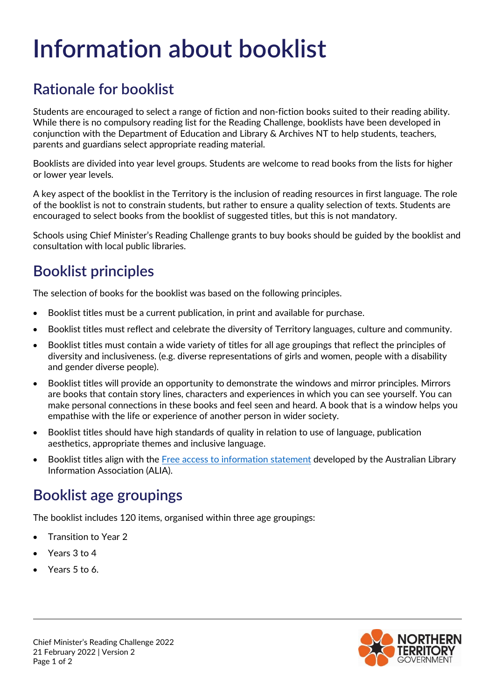# **Information about booklist**

### **Rationale for booklist**

Students are encouraged to select a range of fiction and non-fiction books suited to their reading ability. While there is no compulsory reading list for the Reading Challenge, booklists have been developed in conjunction with the Department of Education and Library & Archives NT to help students, teachers, parents and guardians select appropriate reading material.

Booklists are divided into year level groups. Students are welcome to read books from the lists for higher or lower year levels.

A key aspect of the booklist in the Territory is the inclusion of reading resources in first language. The role of the booklist is not to constrain students, but rather to ensure a quality selection of texts. Students are encouraged to select books from the booklist of suggested titles, but this is not mandatory.

Schools using Chief Minister's Reading Challenge grants to buy books should be guided by the booklist and consultation with local public libraries.

### **Booklist principles**

The selection of books for the booklist was based on the following principles.

- Booklist titles must be a current publication, in print and available for purchase.
- Booklist titles must reflect and celebrate the diversity of Territory languages, culture and community.
- Booklist titles must contain a wide variety of titles for all age groupings that reflect the principles of diversity and inclusiveness. (e.g. diverse representations of girls and women, people with a disability and gender diverse people).
- Booklist titles will provide an opportunity to demonstrate the windows and mirror principles. Mirrors are books that contain story lines, characters and experiences in which you can see yourself. You can make personal connections in these books and feel seen and heard. A book that is a window helps you empathise with the life or experience of another person in wider society.
- Booklist titles should have high standards of quality in relation to use of language, publication aesthetics, appropriate themes and inclusive language.
- Booklist titles align with the [Free access to information statement](https://read.alia.org.au/alia-free-access-information-statement) developed by the Australian Library Information Association (ALIA).

## **Booklist age groupings**

The booklist includes 120 items, organised within three age groupings:

- Transition to Year 2
- Years 3 to 4
- Years 5 to 6.